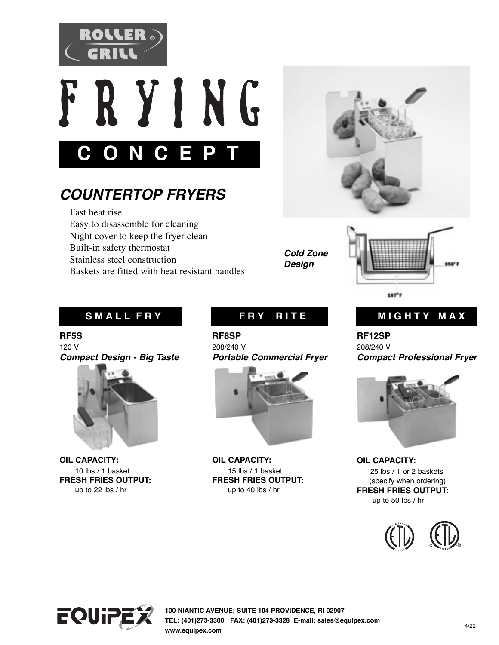



# *COUNTERTOP FRYERS*

 Fast heat rise Easy to disassemble for cleaning Night cover to keep the fryer clean Built-in safety thermostat Stainless steel construction Baskets are fitted with heat resistant handles



*Cold Zone Design* 



**RF5S**  120 V *Compact Design - Big Taste* 



**OIL CAPACITY:** 10 lbs / 1 basket **FRESH FRIES OUTPUT:** up to 22 lbs / hr

**RF8SP**  208/240 V *Portable Commercial Fryer*



**OIL CAPACITY:** 15 lbs / 1 basket **FRESH FRIES OUTPUT:** up to 40 lbs / hr

### SMALL FRY **FRY RITE** MIGHTY MAX

**RF12SP**  208/240 V *Compact Professional Fryer*



**OIL CAPACITY:** 25 lbs / 1 or 2 baskets (specify when ordering) **FRESH FRIES OUTPUT:** up to 50 lbs / hr





**100 NIANTIC AVENUE; SUITE 104 PROVIDENCE, RI 02907 TEL: (401)273-3300 FAX: (401)273-3328 E-mail: sales@equipex.com LTD.www.equipex.com**